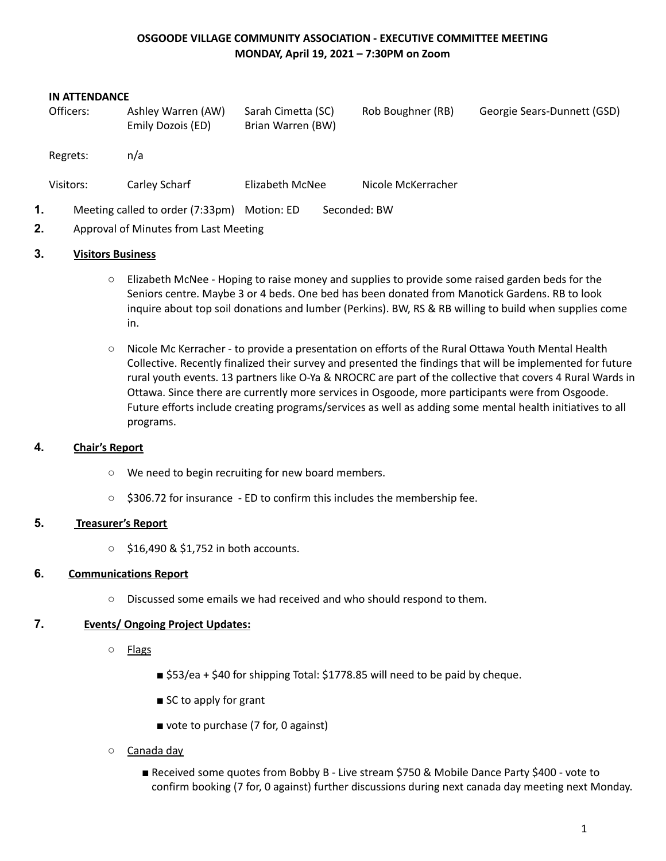# **OSGOODE VILLAGE COMMUNITY ASSOCIATION - EXECUTIVE COMMITTEE MEETING MONDAY, April 19, 2021 – 7:30PM on Zoom**

#### **IN ATTENDANCE**

|    | Officers: | Ashley Warren (AW)<br>Emily Dozois (ED) | Sarah Cimetta (SC)<br>Brian Warren (BW) | Rob Boughner (RB)  | Georgie Sears-Dunnett (GSD) |
|----|-----------|-----------------------------------------|-----------------------------------------|--------------------|-----------------------------|
|    | Regrets:  | n/a                                     |                                         |                    |                             |
|    | Visitors: | Carley Scharf                           | Elizabeth McNee                         | Nicole McKerracher |                             |
| 1. |           | Meeting called to order (7:33pm)        | Motion: ED                              | Seconded: BW       |                             |

**2.** Approval of Minutes from Last Meeting

## **3. Visitors Business**

- Elizabeth McNee Hoping to raise money and supplies to provide some raised garden beds for the Seniors centre. Maybe 3 or 4 beds. One bed has been donated from Manotick Gardens. RB to look inquire about top soil donations and lumber (Perkins). BW, RS & RB willing to build when supplies come in.
- Nicole Mc Kerracher to provide a presentation on efforts of the Rural Ottawa Youth Mental Health Collective. Recently finalized their survey and presented the findings that will be implemented for future rural youth events. 13 partners like O-Ya & NROCRC are part of the collective that covers 4 Rural Wards in Ottawa. Since there are currently more services in Osgoode, more participants were from Osgoode. Future efforts include creating programs/services as well as adding some mental health initiatives to all programs.

## **4. Chair's Report**

- We need to begin recruiting for new board members.
- \$306.72 for insurance ED to confirm this includes the membership fee.

## **5. Treasurer's Report**

○ \$16,490 & \$1,752 in both accounts.

## **6. Communications Report**

○ Discussed some emails we had received and who should respond to them.

## **7. Events/ Ongoing Project Updates:**

- Flags
- \$53/ea + \$40 for shipping Total: \$1778.85 will need to be paid by cheque.
- SC to apply for grant
- vote to purchase (7 for, 0 against)
- Canada day
	- Received some quotes from Bobby B Live stream \$750 & Mobile Dance Party \$400 vote to confirm booking (7 for, 0 against) further discussions during next canada day meeting next Monday.